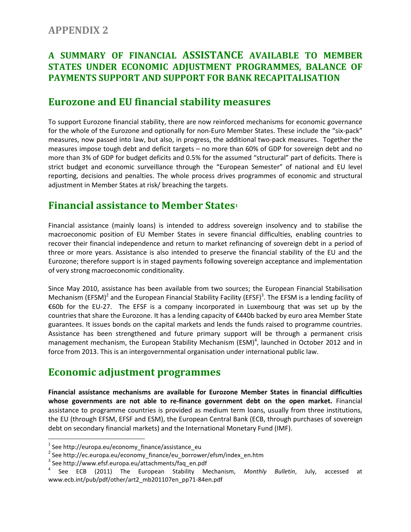#### **APPENDIX 2**

#### **A SUMMARY OF FINANCIAL ASSISTANCE AVAILABLE TO MEMBER STATES UNDER ECONOMIC ADJUSTMENT PROGRAMMES, BALANCE OF PAYMENTS SUPPORT AND SUPPORT FOR BANK RECAPITALISATION**

### **Eurozone and EU financial stability measures**

To support Eurozone financial stability, there are now reinforced mechanisms for economic governance for the whole of the Eurozone and optionally for non-Euro Member States. These include the "six-pack" measures, now passed into law, but also, in progress, the additional two-pack measures. Together the measures impose tough debt and deficit targets – no more than 60% of GDP for sovereign debt and no more than 3% of GDP for budget deficits and 0.5% for the assumed "structural" part of deficits. There is strict budget and economic surveillance through the "European Semester" of national and EU level reporting, decisions and penalties. The whole process drives programmes of economic and structural adjustment in Member States at risk/ breaching the targets.

# **Financial assistance to Member States<sup>1</sup>**

Financial assistance (mainly loans) is intended to address sovereign insolvency and to stabilise the macroeconomic position of EU Member States in severe financial difficulties, enabling countries to recover their financial independence and return to market refinancing of sovereign debt in a period of three or more years. Assistance is also intended to preserve the financial stability of the EU and the Eurozone; therefore support is in staged payments following sovereign acceptance and implementation of very strong macroeconomic conditionality.

Since May 2010, assistance has been available from two sources; the European Financial Stabilisation Mechanism (EFSM)<sup>2</sup> and the European Financial Stability Facility (EFSF)<sup>3</sup>. The EFSM is a lending facility of €60b for the EU-27. The EFSF is a company incorporated in Luxembourg that was set up by the countries that share the Eurozone. It has a lending capacity of €440b backed by euro area Member State guarantees. It issues bonds on the capital markets and lends the funds raised to programme countries. Assistance has been strengthened and future primary support will be through a permanent crisis management mechanism, the European Stability Mechanism (ESM)<sup>4</sup>, launched in October 2012 and in force from 2013. This is an intergovernmental organisation under international public law.

## **Economic adjustment programmes**

**Financial assistance mechanisms are available for Eurozone Member States in financial difficulties whose governments are not able to re-finance government debt on the open market.** Financial assistance to programme countries is provided as medium term loans, usually from three institutions, the EU (through EFSM, EFSF and ESM), the European Central Bank (ECB, through purchases of sovereign debt on secondary financial markets) and the International Monetary Fund (IMF).

l

<sup>&</sup>lt;sup>1</sup> See http://europa.eu/economy\_finance/assistance\_eu

<sup>&</sup>lt;sup>2</sup> See http://ec.europa.eu/economy\_finance/eu\_borrower/efsm/index\_en.htm

<sup>&</sup>lt;sup>3</sup> See http://www.efsf.europa.eu/attachments/faq\_en.pdf

<sup>4</sup> See ECB (2011) The European Stability Mechanism, *Monthly Bulletin*, July, accessed at www.ecb.int/pub/pdf/other/art2\_mb201107en\_pp71-84en.pdf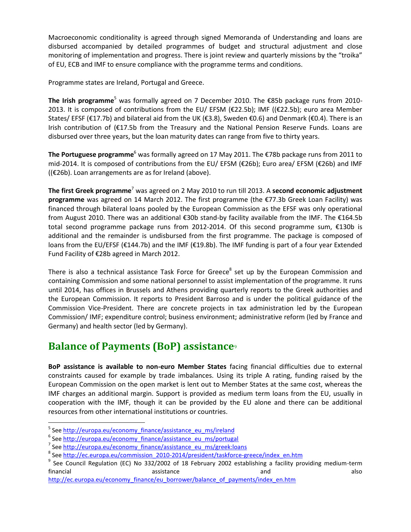Macroeconomic conditionality is agreed through signed Memoranda of Understanding and loans are disbursed accompanied by detailed programmes of budget and structural adjustment and close monitoring of implementation and progress. There is joint review and quarterly missions by the "troika" of EU, ECB and IMF to ensure compliance with the programme terms and conditions.

Programme states are Ireland, Portugal and Greece.

**The Irish programme**<sup>5</sup> was formally agreed on 7 December 2010. The €85b package runs from 2010- 2013. It is composed of contributions from the EU/ EFSM (€22.5b); IMF ((€22.5b); euro area Member States/ EFSF (€17.7b) and bilateral aid from the UK (€3.8), Sweden €0.6) and Denmark (€0.4). There is an Irish contribution of (€17.5b from the Treasury and the National Pension Reserve Funds. Loans are disbursed over three years, but the loan maturity dates can range from five to thirty years.

**The Portuguese programme**<sup>6</sup> was formally agreed on 17 May 2011. The €78b package runs from 2011 to mid-2014. It is composed of contributions from the EU/ EFSM (€26b); Euro area/ EFSM (€26b) and IMF ((€26b). Loan arrangements are as for Ireland (above).

**The first Greek programme**<sup>7</sup> was agreed on 2 May 2010 to run till 2013. A **second economic adjustment programme** was agreed on 14 March 2012. The first programme (the €77.3b Greek Loan Facility) was financed through bilateral loans pooled by the European Commission as the EFSF was only operational from August 2010. There was an additional €30b stand-by facility available from the IMF. The €164.5b total second programme package runs from 2012-2014. Of this second programme sum, €130b is additional and the remainder is undisbursed from the first programme. The package is composed of loans from the EU/EFSF (€144.7b) and the IMF (€19.8b). The IMF funding is part of a four year Extended Fund Facility of €28b agreed in March 2012.

There is also a technical assistance Task Force for Greece<sup>8</sup> set up by the European Commission and containing Commission and some national personnel to assist implementation of the programme. It runs until 2014, has offices in Brussels and Athens providing quarterly reports to the Greek authorities and the European Commission. It reports to President Barroso and is under the political guidance of the Commission Vice-President. There are concrete projects in tax administration led by the European Commission/ IMF; expenditure control; business environment; administrative reform (led by France and Germany) and health sector (led by Germany).

# **Balance of Payments (BoP) assistance**<sup>9</sup>

**BoP assistance is available to non-euro Member States** facing financial difficulties due to external constraints caused for example by trade imbalances. Using its triple A rating, funding raised by the European Commission on the open market is lent out to Member States at the same cost, whereas the IMF charges an additional margin. Support is provided as medium term loans from the EU, usually in cooperation with the IMF, though it can be provided by the EU alone and there can be additional resources from other international institutions or countries.

 $\overline{\phantom{a}}$ 

<sup>&</sup>lt;sup>5</sup> See [http://europa.eu/economy\\_finance/assistance\\_eu\\_ms/ireland](http://europa.eu/economy_finance/assistance_eu_ms/ireland)

<sup>&</sup>lt;sup>6</sup> See [http://europa.eu/economy\\_finance/assistance\\_eu\\_ms/portugal](http://europa.eu/economy_finance/assistance_eu_ms/portugal)

<sup>&</sup>lt;sup>7</sup> See [http://europa.eu/economy\\_finance/assistance\\_eu\\_ms/greek:loans](http://europa.eu/economy_finance/assistance_eu_ms/greek:loans)

<sup>&</sup>lt;sup>8</sup> See <u>http://ec.europa.eu/commission\_2010-2014/president/taskforce-greece/index\_en.htm</u>

<sup>&</sup>lt;sup>9</sup> See Council Regulation (EC) No 332/2002 of 18 February 2002 establishing a facility providing medium-term financial assistance and also and also and also and also and also and also and also and also and also and also [http://ec.europa.eu/economy\\_finance/eu\\_borrower/balance\\_of\\_payments/index\\_en.htm](http://ec.europa.eu/economy_finance/eu_borrower/balance_of_payments/index_en.htm)